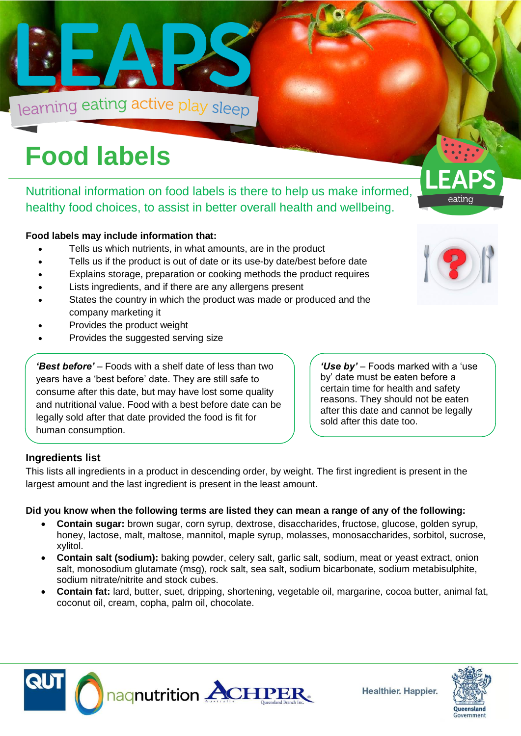

# **Food labels**

Nutritional information on food labels is there to help us make informed, healthy food choices, to assist in better overall health and wellbeing.

#### **Food labels may include information that:**

- Tells us which nutrients, in what amounts, are in the product
- Tells us if the product is out of date or its use-by date/best before date
- Explains storage, preparation or cooking methods the product requires
- Lists ingredients, and if there are any allergens present
- States the country in which the product was made or produced and the company marketing it
- Provides the product weight
- Provides the suggested serving size

*'Best before'* – Foods with a shelf date of less than two years have a 'best before' date. They are still safe to consume after this date, but may have lost some quality and nutritional value. Food with a best before date can be legally sold after that date provided the food is fit for human consumption.

*'Use by'* – Foods marked with a 'use by' date must be eaten before a certain time for health and safety reasons. They should not be eaten after this date and cannot be legally sold after this date too.

#### **Ingredients list**

This lists all ingredients in a product in descending order, by weight. The first ingredient is present in the largest amount and the last ingredient is present in the least amount.

#### **Did you know when the following terms are listed they can mean a range of any of the following:**

- **Contain sugar:** brown sugar, corn syrup, dextrose, disaccharides, fructose, glucose, golden syrup, honey, lactose, malt, maltose, mannitol, maple syrup, molasses, monosaccharides, sorbitol, sucrose, xylitol.
- **Contain salt (sodium):** baking powder, celery salt, garlic salt, sodium, meat or yeast extract, onion salt, monosodium glutamate (msg), rock salt, sea salt, sodium bicarbonate, sodium metabisulphite, sodium nitrate/nitrite and stock cubes.
- **Contain fat:** lard, butter, suet, dripping, shortening, vegetable oil, margarine, cocoa butter, animal fat, coconut oil, cream, copha, palm oil, chocolate.





Government



eating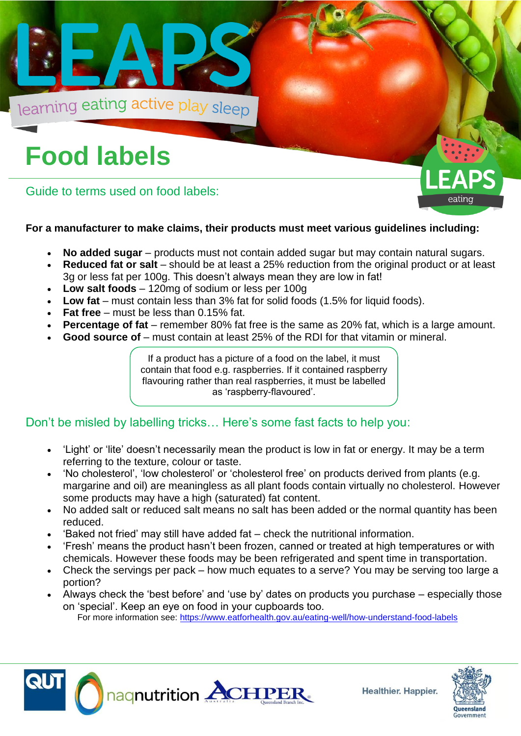

## **Food labels**

Guide to terms used on food labels:

### **For a manufacturer to make claims, their products must meet various guidelines including:**

- **No added sugar** products must not contain added sugar but may contain natural sugars.
- **Reduced fat or salt** should be at least a 25% reduction from the original product or at least 3g or less fat per 100g. This doesn't always mean they are low in fat!
- **Low salt foods**  120mg of sodium or less per 100g
- Low fat must contain less than 3% fat for solid foods (1.5% for liquid foods).
- **Fat free**  must be less than 0.15% fat.
- **Percentage of fat** remember 80% fat free is the same as 20% fat, which is a large amount.
- **Good source of** must contain at least 25% of the RDI for that vitamin or mineral.

If a product has a picture of a food on the label, it must contain that food e.g. raspberries. If it contained raspberry flavouring rather than real raspberries, it must be labelled as 'raspberry-flavoured'.

### Don't be misled by labelling tricks… Here's some fast facts to help you:

- 'Light' or 'lite' doesn't necessarily mean the product is low in fat or energy. It may be a term referring to the texture, colour or taste.
- 'No cholesterol', 'low cholesterol' or 'cholesterol free' on products derived from plants (e.g. margarine and oil) are meaningless as all plant foods contain virtually no cholesterol. However some products may have a high (saturated) fat content.
- No added salt or reduced salt means no salt has been added or the normal quantity has been reduced.
- 'Baked not fried' may still have added fat check the nutritional information.
- 'Fresh' means the product hasn't been frozen, canned or treated at high temperatures or with chemicals. However these foods may be been refrigerated and spent time in transportation.
- Check the servings per pack how much equates to a serve? You may be serving too large a portion?
- Always check the 'best before' and 'use by' dates on products you purchase especially those on 'special'. Keep an eye on food in your cupboards too. For more information see:<https://www.eatforhealth.gov.au/eating-well/how-understand-food-labels>







eating